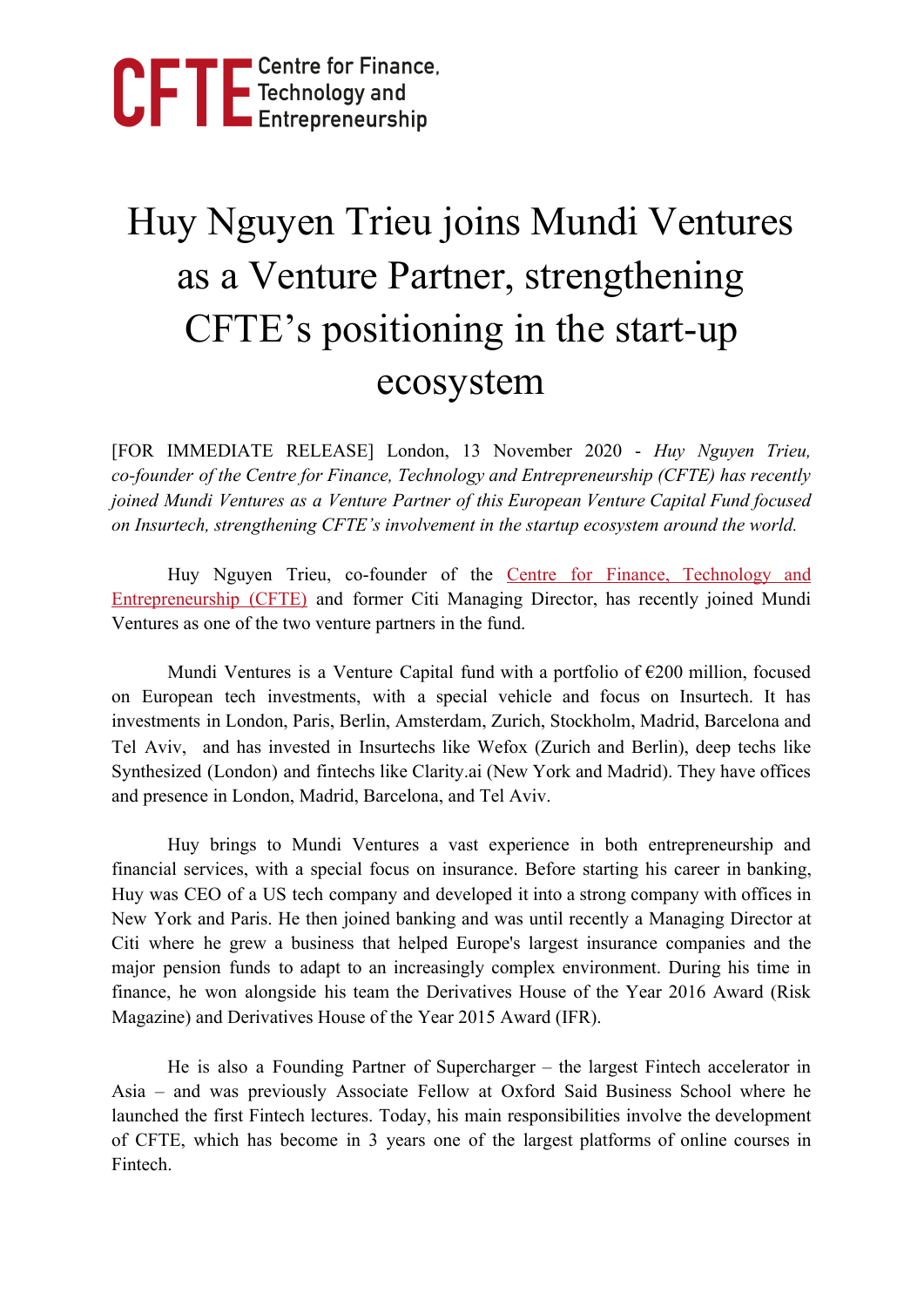

## Huy Nguyen Trieu joins Mundi Ventures as a Venture Partner, strengthening CFTE's positioning in the start-up ecosystem

[FOR IMMEDIATE RELEASE] London, 13 November 2020 - *Huy Nguyen Trieu, co-founder of the Centre for Finance, Technology and Entrepreneurship (CFTE) has recently joined Mundi Ventures as a Venture Partner of this European Venture Capital Fund focused on Insurtech, strengthening CFTE's involvement in the startup ecosystem around the world.*

Huy Nguyen Trieu, co-founder of the Centre for Finance, [Technology](https://cfte.education/) and [Entrepreneurship](https://cfte.education/) (CFTE) and former Citi Managing Director, has recently joined Mundi Ventures as one of the two venture partners in the fund.

Mundi Ventures is a Venture Capital fund with a portfolio of  $E200$  million, focused on European tech investments, with a special vehicle and focus on Insurtech. It has investments in London, Paris, Berlin, Amsterdam, Zurich, Stockholm, Madrid, Barcelona and Tel Aviv, and has invested in Insurtechs like Wefox (Zurich and Berlin), deep techs like Synthesized (London) and fintechs like Clarity.ai (New York and Madrid). They have offices and presence in London, Madrid, Barcelona, and Tel Aviv.

Huy brings to Mundi Ventures a vast experience in both entrepreneurship and financial services, with a special focus on insurance. Before starting his career in banking, Huy was CEO of a US tech company and developed it into a strong company with offices in New York and Paris. He then joined banking and was until recently a Managing Director at Citi where he grew a business that helped Europe's largest insurance companies and the major pension funds to adapt to an increasingly complex environment. During his time in finance, he won alongside his team the Derivatives House of the Year 2016 Award (Risk Magazine) and Derivatives House of the Year 2015 Award (IFR).

He is also a Founding Partner of Supercharger – the largest Fintech accelerator in Asia – and was previously Associate Fellow at Oxford Said Business School where he launched the first Fintech lectures. Today, his main responsibilities involve the development of CFTE, which has become in 3 years one of the largest platforms of online courses in Fintech.